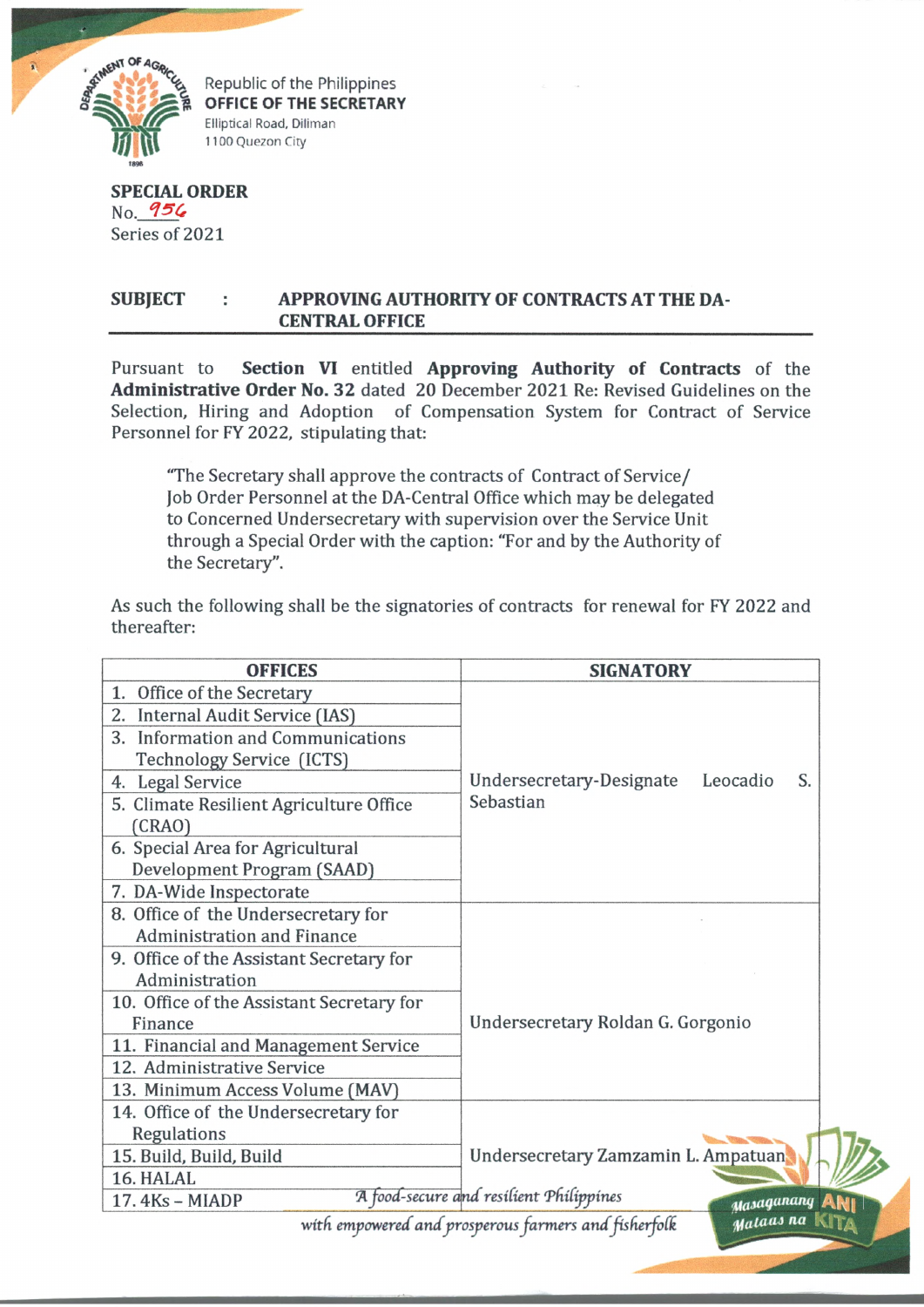

Republic of the Philippines OFFICE OF THE SECRETARY Elliptical Road, Diliman 1100 Quezon City

**SPECIAL ORDER** No. 956 Series of 2021

## SUBJECT : APPROVING AUTHORITY OF CONTRACTS AT THE DA-**CENTRAL OFFICE**

Pursuant to **Section VI** entitled **Approving Authority of Contracts** of the **Administrative Order No. 32** dated 20 December 2021 Re: Revised Guidelines on the Selection, Hiring and Adoption of Compensation System for Contract of Service Personnel for FY 2022, stipulating that:

"The Secretary shall approve the contracts of Contract of Service/ Job Order Personnel at the DA-Central Office which may be delegated to Concerned Undersecretary with supervision over the Service Unit through a Special Order with the caption: "For and by the Authority of the Secretary".

As such the following shall be the signatories of contracts for renewal for FY 2022 and thereafter:

| <b>OFFICES</b>                                                              | <b>SIGNATORY</b>                           |  |
|-----------------------------------------------------------------------------|--------------------------------------------|--|
| Office of the Secretary<br>1.                                               |                                            |  |
| Internal Audit Service (IAS)<br>2.                                          |                                            |  |
| <b>Information and Communications</b><br>3.                                 |                                            |  |
| Technology Service (ICTS)                                                   |                                            |  |
| <b>Legal Service</b><br>4.                                                  | Undersecretary-Designate<br>Leocadio<br>S. |  |
| 5. Climate Resilient Agriculture Office                                     | Sebastian                                  |  |
| (CRAO)                                                                      |                                            |  |
| 6. Special Area for Agricultural                                            |                                            |  |
| Development Program (SAAD)                                                  |                                            |  |
| 7. DA-Wide Inspectorate                                                     |                                            |  |
| 8. Office of the Undersecretary for                                         |                                            |  |
| <b>Administration and Finance</b>                                           |                                            |  |
| 9. Office of the Assistant Secretary for                                    |                                            |  |
| Administration                                                              |                                            |  |
| 10. Office of the Assistant Secretary for                                   |                                            |  |
| Finance                                                                     | Undersecretary Roldan G. Gorgonio          |  |
| 11. Financial and Management Service                                        |                                            |  |
| 12. Administrative Service                                                  |                                            |  |
| 13. Minimum Access Volume (MAV)                                             |                                            |  |
| 14. Office of the Undersecretary for                                        |                                            |  |
| Regulations                                                                 |                                            |  |
| 15. Build, Build, Build                                                     | Undersecretary Zamzamin L. Ampatuan        |  |
| 16. HALAL                                                                   |                                            |  |
| A food-secure and resilient Philippines<br>17.4Ks - MIADP<br>Masaganang ANI |                                            |  |
| Mataas na Kita<br>with empowered and prosperous farmers and fisherfolk      |                                            |  |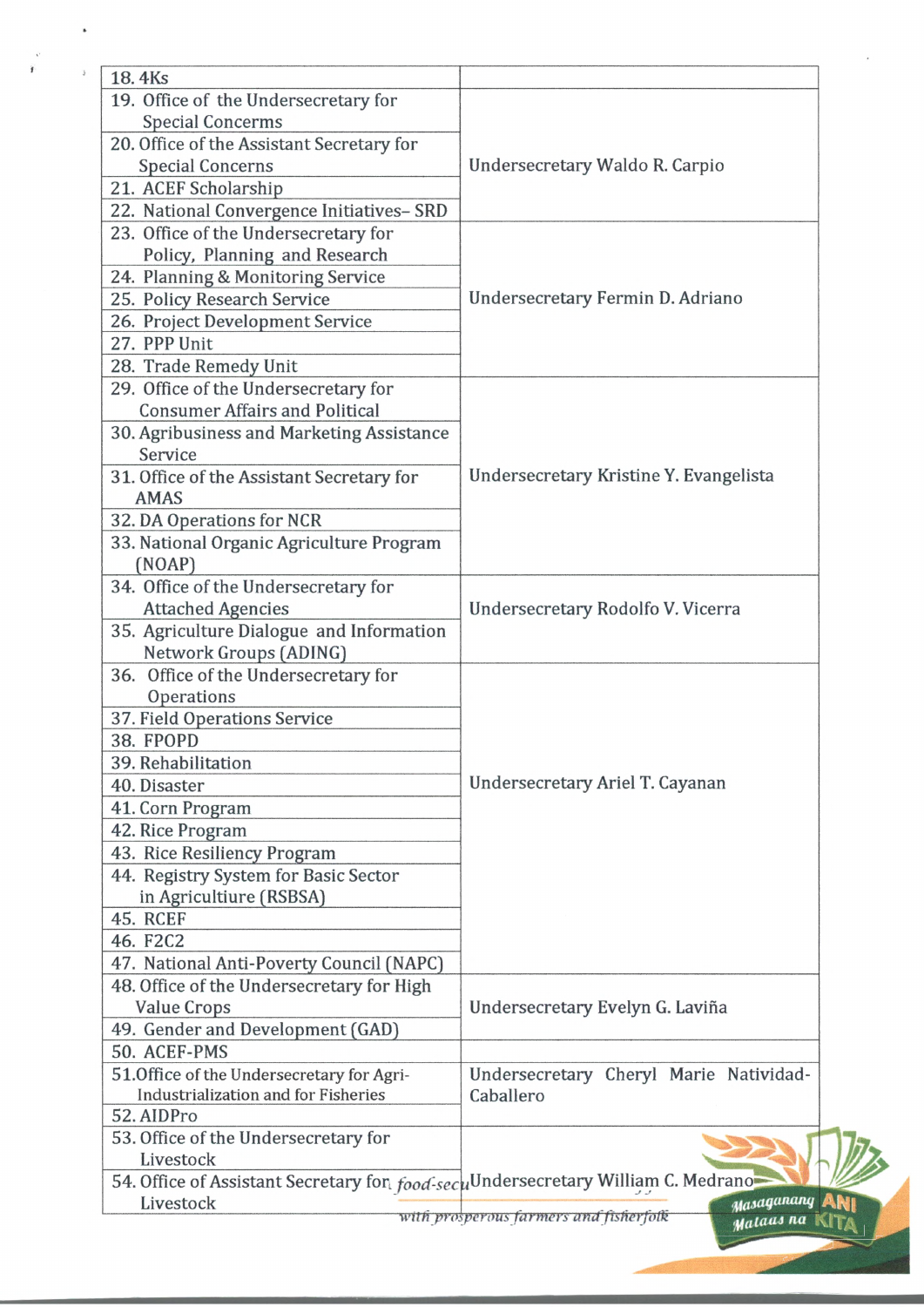| 18.4Ks                                                                                   |                                        |  |
|------------------------------------------------------------------------------------------|----------------------------------------|--|
| 19. Office of the Undersecretary for                                                     |                                        |  |
| <b>Special Concerms</b>                                                                  |                                        |  |
| 20. Office of the Assistant Secretary for                                                |                                        |  |
| <b>Special Concerns</b>                                                                  | Undersecretary Waldo R. Carpio         |  |
| 21. ACEF Scholarship                                                                     |                                        |  |
| 22. National Convergence Initiatives- SRD                                                |                                        |  |
| 23. Office of the Undersecretary for                                                     |                                        |  |
| Policy, Planning and Research                                                            |                                        |  |
| 24. Planning & Monitoring Service                                                        | Undersecretary Fermin D. Adriano       |  |
| 25. Policy Research Service                                                              |                                        |  |
| 26. Project Development Service                                                          |                                        |  |
| 27. PPP Unit                                                                             |                                        |  |
| 28. Trade Remedy Unit                                                                    |                                        |  |
| 29. Office of the Undersecretary for                                                     |                                        |  |
| <b>Consumer Affairs and Political</b>                                                    |                                        |  |
| 30. Agribusiness and Marketing Assistance                                                |                                        |  |
| Service                                                                                  |                                        |  |
| 31. Office of the Assistant Secretary for                                                | Undersecretary Kristine Y. Evangelista |  |
| <b>AMAS</b>                                                                              |                                        |  |
| 32. DA Operations for NCR                                                                |                                        |  |
| 33. National Organic Agriculture Program                                                 |                                        |  |
| (NOAP)                                                                                   |                                        |  |
| 34. Office of the Undersecretary for                                                     | Undersecretary Rodolfo V. Vicerra      |  |
| <b>Attached Agencies</b>                                                                 |                                        |  |
| 35. Agriculture Dialogue and Information                                                 |                                        |  |
| Network Groups (ADING)                                                                   |                                        |  |
| 36. Office of the Undersecretary for                                                     |                                        |  |
| Operations                                                                               |                                        |  |
| 37. Field Operations Service                                                             |                                        |  |
| 38. FPOPD                                                                                |                                        |  |
| 39. Rehabilitation                                                                       |                                        |  |
| 40. Disaster                                                                             | Undersecretary Ariel T. Cayanan        |  |
| 41. Corn Program                                                                         |                                        |  |
| 42. Rice Program                                                                         |                                        |  |
| 43. Rice Resiliency Program                                                              |                                        |  |
| 44. Registry System for Basic Sector                                                     |                                        |  |
| in Agricultiure (RSBSA)                                                                  |                                        |  |
| <b>45. RCEF</b>                                                                          |                                        |  |
| 46. F2C2                                                                                 |                                        |  |
| 47. National Anti-Poverty Council (NAPC)                                                 |                                        |  |
| 48. Office of the Undersecretary for High                                                |                                        |  |
| Value Crops                                                                              | Undersecretary Evelyn G. Laviña        |  |
| 49. Gender and Development (GAD)                                                         |                                        |  |
| 50. ACEF-PMS                                                                             |                                        |  |
| 51. Office of the Undersecretary for Agri-                                               | Undersecretary Cheryl Marie Natividad- |  |
| Industrialization and for Fisheries                                                      | Caballero                              |  |
| 52. AIDPro                                                                               |                                        |  |
| 53. Office of the Undersecretary for                                                     |                                        |  |
| Livestock                                                                                |                                        |  |
| 54. Office of Assistant Secretary for <i>food-seculardersecretary William C. Medrano</i> |                                        |  |
| Livestock                                                                                | Masaganang                             |  |
| with prosperous farmers and fisherfolk<br>Malaas na                                      |                                        |  |

à

 $\downarrow$